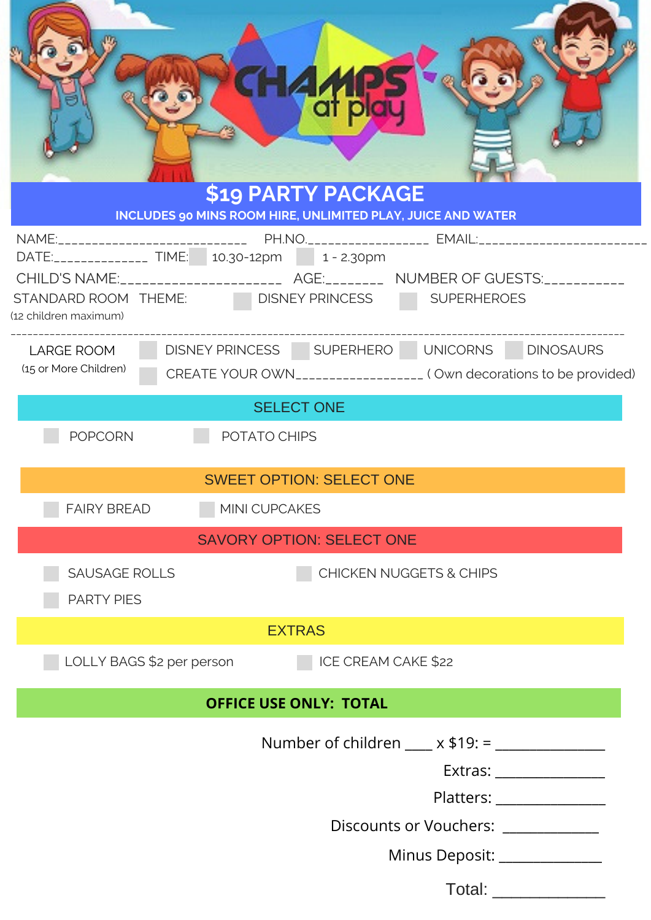|                                                  | di pl<br>\$19 PARTY PACKAGE<br>INCLUDES 90 MINS ROOM HIRE, UNLIMITED PLAY, JUICE AND WATER                                                                                                                   |  |  |
|--------------------------------------------------|--------------------------------------------------------------------------------------------------------------------------------------------------------------------------------------------------------------|--|--|
|                                                  |                                                                                                                                                                                                              |  |  |
|                                                  | DATE:_______________ TIME:   10.30-12pm     1 - 2.30pm<br>CHILD'S NAME:__________________________ AGE:___________ NUMBER OF GUESTS:___________<br>STANDARD ROOM THEME: DISNEY PRINCESS<br><b>SUPERHEROES</b> |  |  |
| (12 children maximum)                            |                                                                                                                                                                                                              |  |  |
| <b>LARGE ROOM</b><br>(15 or More Children)       | DISNEY PRINCESS SUPERHERO UNICORNS DINOSAURS<br>CREATE YOUR OWN___________________ (Own decorations to be provided)                                                                                          |  |  |
| <b>SELECT ONE</b>                                |                                                                                                                                                                                                              |  |  |
| <b>POPCORN</b><br>POTATO CHIPS                   |                                                                                                                                                                                                              |  |  |
| <b>SWEET OPTION: SELECT ONE</b>                  |                                                                                                                                                                                                              |  |  |
| <b>FAIRY BREAD</b><br>MINI CUPCAKES              |                                                                                                                                                                                                              |  |  |
| <b>SAVORY OPTION: SELECT ONE</b>                 |                                                                                                                                                                                                              |  |  |
| <b>SAUSAGE ROLLS</b><br><b>PARTY PIES</b>        | <b>CHICKEN NUGGETS &amp; CHIPS</b>                                                                                                                                                                           |  |  |
|                                                  | <b>EXTRAS</b>                                                                                                                                                                                                |  |  |
| LOLLY BAGS \$2 per person<br>ICE CREAM CAKE \$22 |                                                                                                                                                                                                              |  |  |
|                                                  | <b>OFFICE USE ONLY: TOTAL</b>                                                                                                                                                                                |  |  |
|                                                  | Number of children ____ x \$19: = ____________                                                                                                                                                               |  |  |
|                                                  | Extras: _________________                                                                                                                                                                                    |  |  |
|                                                  | Platters: 2000                                                                                                                                                                                               |  |  |
|                                                  | Discounts or Vouchers: ___________                                                                                                                                                                           |  |  |
|                                                  | Minus Deposit: ______________                                                                                                                                                                                |  |  |
|                                                  | Total:                                                                                                                                                                                                       |  |  |